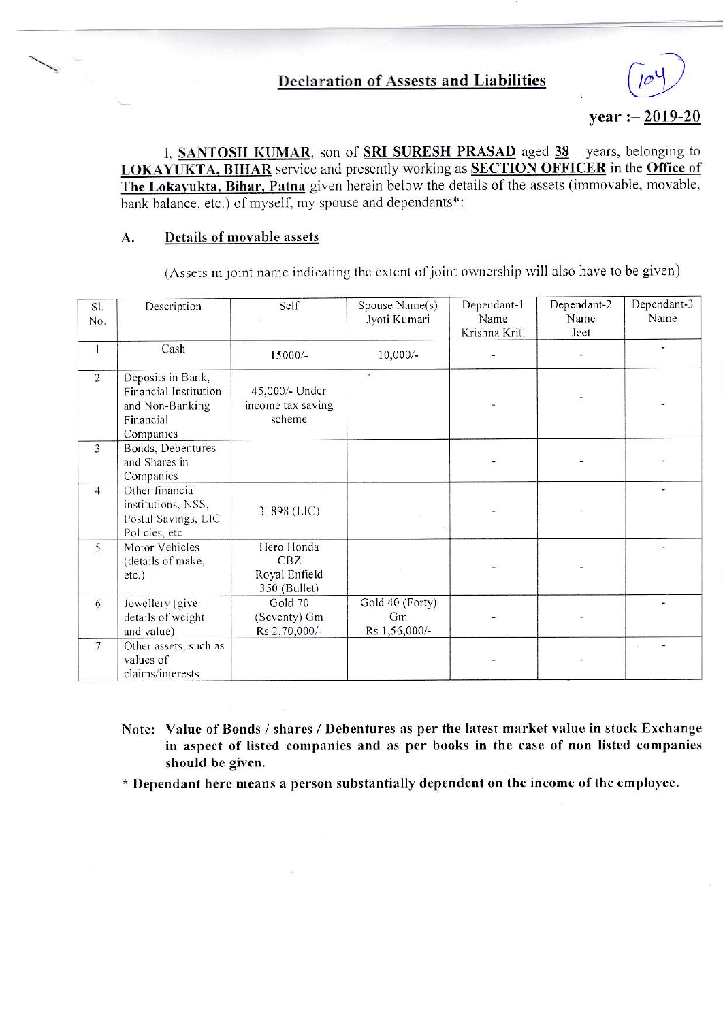## year :  $-2019-20$

I, SANTOSH KUMAR, son of SRI SURESH PRASAD aged 38 years, belonging to LOKAYUKTA, BIHAR service and presently working as SECTION OFFICER in the Office of The Lokayukta, Bihar, Patna given herein below the details of the assets (immovable, movable, bank balance, etc.) of myself, my spouse and dependants\*:

#### Details of movable assets A.

(Assets in joint name indicating the extent of joint ownership will also have to be given)

| SI.<br>No.     | Description                                                                             | Self                                               | Spouse Name(s)<br>Jyoti Kumari         | Dependant-1<br>Name<br>Krishna Kriti | Dependant-2<br>Name<br>Jeet | Dependant-3<br>Name |
|----------------|-----------------------------------------------------------------------------------------|----------------------------------------------------|----------------------------------------|--------------------------------------|-----------------------------|---------------------|
| 1              | Cash                                                                                    | 15000/-                                            | $10,000/-$                             |                                      |                             |                     |
| $\overline{2}$ | Deposits in Bank,<br>Financial Institution<br>and Non-Banking<br>Financial<br>Companies | 45,000/- Under<br>income tax saving<br>scheme      |                                        |                                      |                             |                     |
| $\overline{3}$ | Bonds, Debentures<br>and Shares in<br>Companies                                         |                                                    |                                        |                                      |                             |                     |
| $\overline{4}$ | Other financial<br>institutions, NSS,<br>Postal Savings, LIC<br>Policies, etc           | 31898 (LIC)                                        |                                        |                                      |                             |                     |
| 5              | Motor Vehicles<br>(details of make,<br>etc.)                                            | Hero Honda<br>CBZ<br>Royal Enfield<br>350 (Bullet) |                                        |                                      |                             |                     |
| 6              | Jewellery (give<br>details of weight<br>and value)                                      | Gold 70<br>(Seventy) Gm<br>Rs 2,70,000/-           | Gold 40 (Forty)<br>Gm<br>Rs 1,56,000/- |                                      |                             |                     |
| $\overline{7}$ | Other assets, such as<br>values of<br>claims/interests                                  |                                                    |                                        |                                      |                             |                     |

Note: Value of Bonds / shares / Debentures as per the latest market value in stock Exchange in aspect of listed companies and as per books in the case of non listed companies should be given.

\* Dependant here means a person substantially dependent on the income of the employee.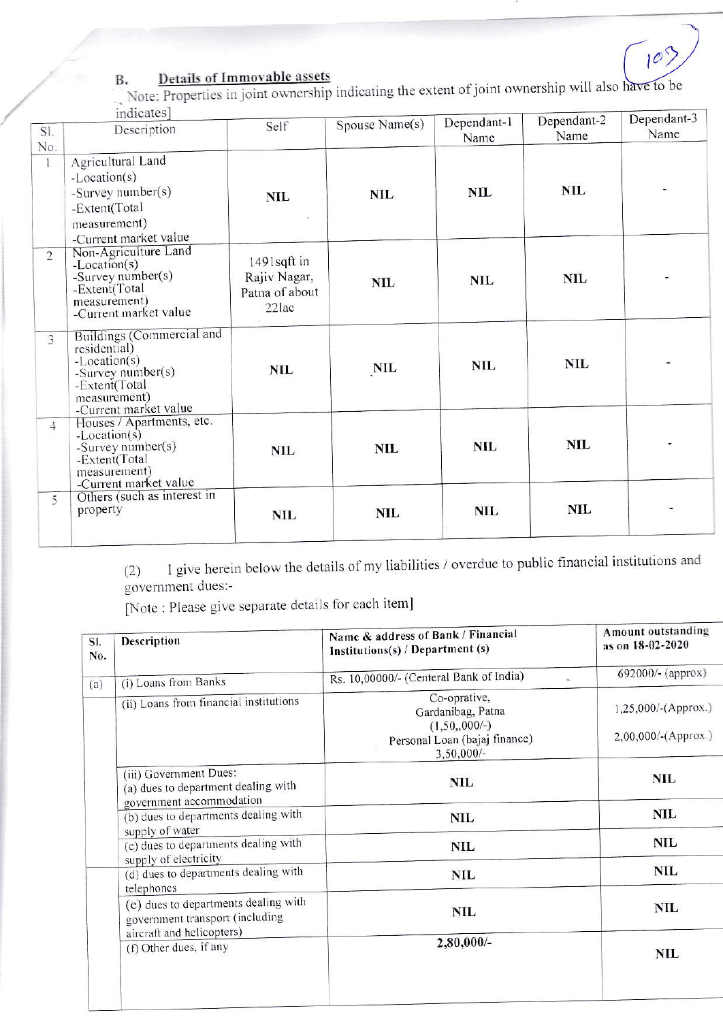# $10^{5}$

### Details of Immovable assets B.

Note: Properties in joint ownership indicating the extent of joint ownership will also have to be dicates]

|                | $1ncates$<br>Description                                                                                                                   | Self                                                      | Spouse Name(s) | Dependant-1 | Dependant-2 | Dependant-3 |
|----------------|--------------------------------------------------------------------------------------------------------------------------------------------|-----------------------------------------------------------|----------------|-------------|-------------|-------------|
| SI.<br>No.     |                                                                                                                                            |                                                           |                | Name        | Name        | Name        |
|                | Agricultural Land<br>$-Location(s)$<br>-Survey number(s)<br>-Extent(Total<br>measurement)<br>-Current market value                         | NIL                                                       | <b>NIL</b>     | <b>NIL</b>  | <b>NIL</b>  |             |
| $\overline{2}$ | Non-Agriculture Land<br>$-Location(s)$<br>-Survey number(s)<br>-Extent(Total<br>measurement)<br>-Current market value                      | $1491$ sqft in<br>Rajiv Nagar,<br>Patna of about<br>22lac | <b>NIL</b>     | <b>NIL</b>  | <b>NIL</b>  |             |
| $\overline{3}$ | Buildings (Commercial and<br>residential)<br>$-Location(s)$<br>-Survey number(s)<br>-Extent(Total<br>measurement)<br>-Current market value | <b>NIL</b>                                                | NIL            | <b>NIL</b>  | <b>NIL</b>  |             |
| $\overline{4}$ | Houses / Apartments, etc.<br>$-Location(s)$<br>-Survey number(s)<br>-Extent(Total<br>measurement)<br>-Current market value                 | <b>NIL</b>                                                | <b>NIL</b>     | <b>NIL</b>  | <b>NIL</b>  |             |
| 5              | Others (such as interest in<br>property                                                                                                    | <b>NIL</b>                                                | NIL            | NIL         | <b>NIL</b>  |             |

I give herein below the details of my liabilities / overdue to public financial institutions and  $(2)$ government dues:-

[Note : Please give separate details for each item]

| SI.<br>No. | Description                                                                                                                                          | Name & address of Bank / Financial<br>Institutions(s) / Department (s)                               | Amount outstanding<br>as on 18-02-2020<br>692000/- (approx) |  |
|------------|------------------------------------------------------------------------------------------------------------------------------------------------------|------------------------------------------------------------------------------------------------------|-------------------------------------------------------------|--|
| (a)        | (i) Loans from Banks                                                                                                                                 | Rs. 10,00000/- (Centeral Bank of India)                                                              |                                                             |  |
|            | (ii) Loans from financial institutions                                                                                                               | Co-oprative,<br>Gardanibag, Patna<br>$(1,50,000/-)$<br>Personal Loan (bajaj finance)<br>$3,50,000/-$ | 1,25,000/-(Approx.)<br>2,00,000/-(Approx.)                  |  |
|            | (iii) Government Dues:<br>(a) dues to department dealing with<br>government accommodation<br>(b) dues to departments dealing with<br>supply of water | <b>NIL</b>                                                                                           | <b>NIL</b>                                                  |  |
|            |                                                                                                                                                      | <b>NIL</b>                                                                                           | <b>NIL</b>                                                  |  |
|            | (c) dues to departments dealing with<br>supply of electricity                                                                                        | <b>NIL</b>                                                                                           | NIL                                                         |  |
|            | (d) dues to departments dealing with<br>telephones                                                                                                   | <b>NIL</b>                                                                                           | <b>NIL</b>                                                  |  |
|            | (e) dues to departments dealing with<br>government transport (including<br>aircraft and helicopters)                                                 | <b>NIL</b>                                                                                           | <b>NIL</b>                                                  |  |
|            | (f) Other dues, if any                                                                                                                               | 2,80,000/-                                                                                           | <b>NIL</b>                                                  |  |
|            |                                                                                                                                                      |                                                                                                      |                                                             |  |